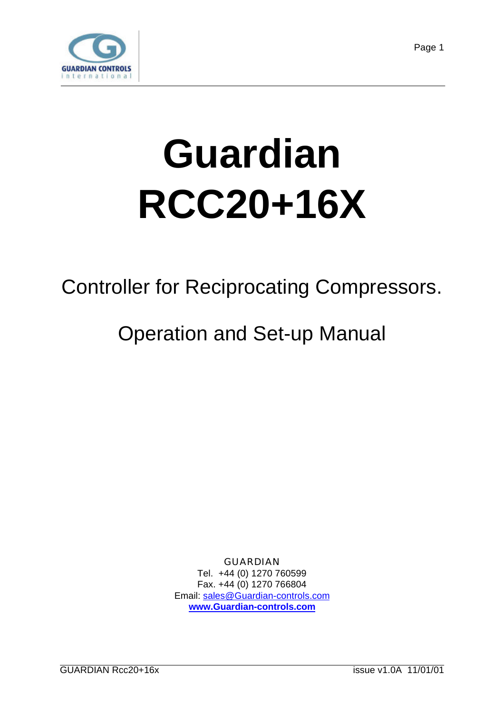

# **Guardian RCC20+16X**

## Controller for Reciprocating Compressors.

Operation and Set-up Manual

GUARDIAN Tel. +44 (0) 1270 760599 Fax. +44 (0) 1270 766804 Email: sales@Guardian-controls.com **www.Guardian-controls.com**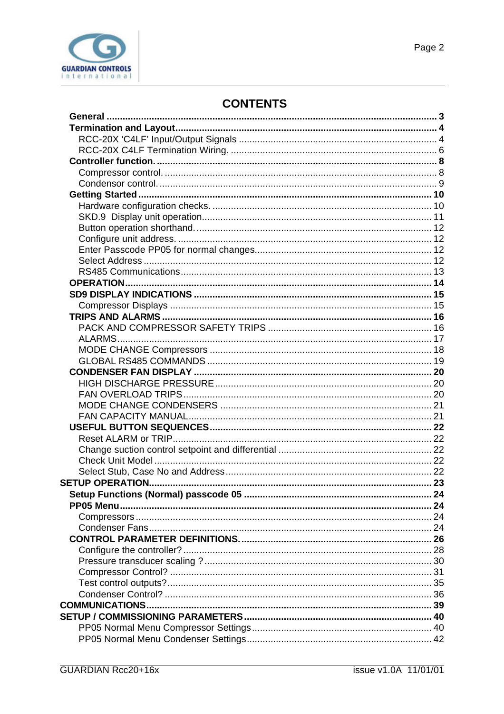

### **CONTENTS**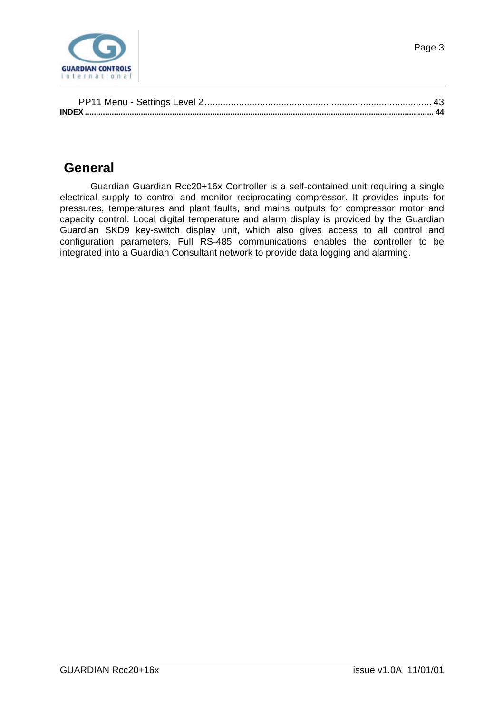

### **General**

Guardian Guardian Rcc20+16x Controller is a self-contained unit requiring a single electrical supply to control and monitor reciprocating compressor. It provides inputs for pressures, temperatures and plant faults, and mains outputs for compressor motor and capacity control. Local digital temperature and alarm display is provided by the Guardian Guardian SKD9 key-switch display unit, which also gives access to all control and configuration parameters. Full RS-485 communications enables the controller to be integrated into a Guardian Consultant network to provide data logging and alarming.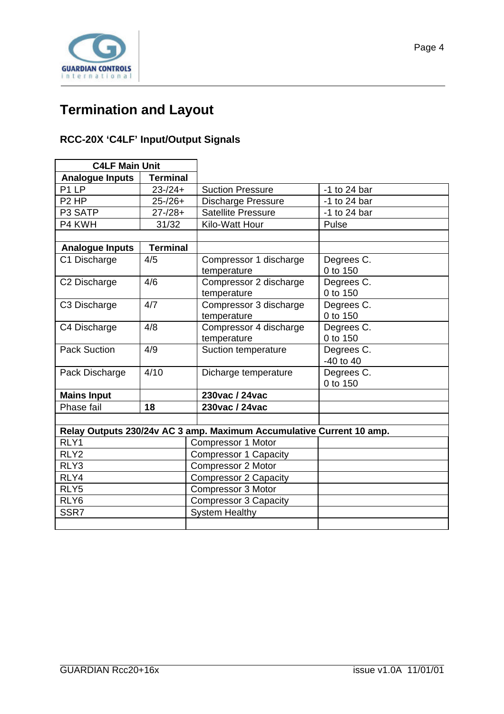

### **Termination and Layout**

### **RCC-20X 'C4LF' Input/Output Signals**

| <b>C4LF Main Unit</b>  |                 |                                                                      |                             |
|------------------------|-----------------|----------------------------------------------------------------------|-----------------------------|
| <b>Analogue Inputs</b> | <b>Terminal</b> |                                                                      |                             |
| P <sub>1</sub> LP      | $23 - 24 +$     | <b>Suction Pressure</b>                                              | $-1$ to 24 bar              |
| P <sub>2</sub> HP      | $25 - 26 +$     | Discharge Pressure                                                   | $-1$ to 24 bar              |
| P <sub>3</sub> SATP    | $27 - 28 +$     | <b>Satellite Pressure</b>                                            | -1 to 24 bar                |
| P4 KWH                 | 31/32           | Kilo-Watt Hour                                                       | Pulse                       |
|                        |                 |                                                                      |                             |
| <b>Analogue Inputs</b> | <b>Terminal</b> |                                                                      |                             |
| C1 Discharge           | 4/5             | Compressor 1 discharge<br>temperature                                | Degrees C.<br>0 to 150      |
| C2 Discharge           | 4/6             | Compressor 2 discharge<br>temperature                                | Degrees C.<br>0 to 150      |
| C3 Discharge           | 4/7             | Compressor 3 discharge<br>temperature                                | Degrees C.<br>0 to 150      |
| C4 Discharge           | 4/8             | Compressor 4 discharge<br>temperature                                | Degrees C.<br>0 to 150      |
| <b>Pack Suction</b>    | 4/9             | Suction temperature                                                  | Degrees C.<br>$-40$ to $40$ |
| 4/10<br>Pack Discharge |                 | Dicharge temperature                                                 | Degrees C.<br>0 to 150      |
| <b>Mains Input</b>     |                 | 230 vac / 24 vac                                                     |                             |
| Phase fail             | 18              | 230 vac / 24 vac                                                     |                             |
|                        |                 |                                                                      |                             |
|                        |                 | Relay Outputs 230/24v AC 3 amp. Maximum Accumulative Current 10 amp. |                             |
| RLY1                   |                 | <b>Compressor 1 Motor</b>                                            |                             |
| RLY <sub>2</sub>       |                 | <b>Compressor 1 Capacity</b>                                         |                             |
| RLY3                   |                 | <b>Compressor 2 Motor</b>                                            |                             |
| RLY4                   |                 | <b>Compressor 2 Capacity</b>                                         |                             |
| RLY5                   |                 | <b>Compressor 3 Motor</b>                                            |                             |
| RLY <sub>6</sub>       |                 | <b>Compressor 3 Capacity</b>                                         |                             |
| SSR7                   |                 | <b>System Healthy</b>                                                |                             |
|                        |                 |                                                                      |                             |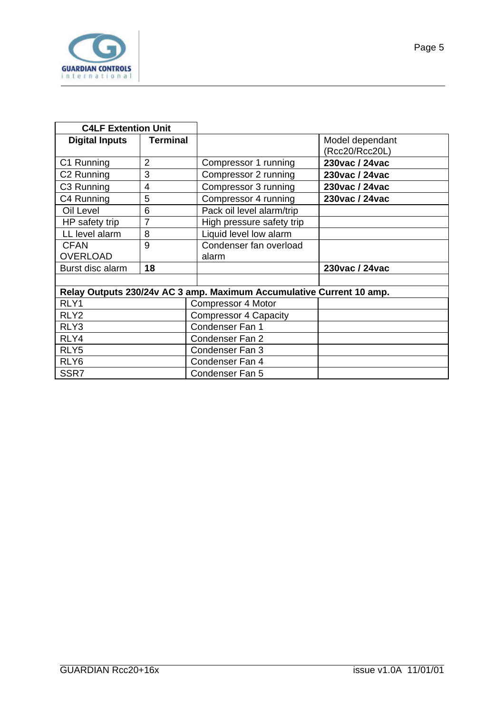

| <b>C4LF Extention Unit</b>               |                |                                                                      |                                   |
|------------------------------------------|----------------|----------------------------------------------------------------------|-----------------------------------|
| <b>Digital Inputs</b><br><b>Terminal</b> |                |                                                                      | Model dependant<br>(Rcc20/Rcc20L) |
| C1 Running                               | $\overline{2}$ | Compressor 1 running                                                 | 230vac / 24vac                    |
| C <sub>2</sub> Running                   | 3              | Compressor 2 running                                                 | 230vac / 24vac                    |
| C3 Running                               | $\overline{4}$ | Compressor 3 running                                                 | 230vac / 24vac                    |
| C4 Running                               | 5              | Compressor 4 running                                                 | 230vac / 24vac                    |
| Oil Level                                | 6              | Pack oil level alarm/trip                                            |                                   |
| HP safety trip                           | 7              | High pressure safety trip                                            |                                   |
| LL level alarm                           | 8              | Liquid level low alarm                                               |                                   |
| <b>CFAN</b>                              | 9              | Condenser fan overload                                               |                                   |
| <b>OVERLOAD</b>                          |                | alarm                                                                |                                   |
| Burst disc alarm                         | 18             |                                                                      | 230 vac / 24 vac                  |
|                                          |                |                                                                      |                                   |
|                                          |                | Relay Outputs 230/24v AC 3 amp. Maximum Accumulative Current 10 amp. |                                   |
| RLY1                                     |                | <b>Compressor 4 Motor</b>                                            |                                   |
| RLY <sub>2</sub>                         |                | <b>Compressor 4 Capacity</b>                                         |                                   |
| RLY3                                     |                | Condenser Fan 1                                                      |                                   |
| RLY4                                     |                | <b>Condenser Fan 2</b>                                               |                                   |
| RLY5                                     |                | Condenser Fan 3                                                      |                                   |
| RLY <sub>6</sub>                         |                | Condenser Fan 4                                                      |                                   |
| SSR7                                     |                | Condenser Fan 5                                                      |                                   |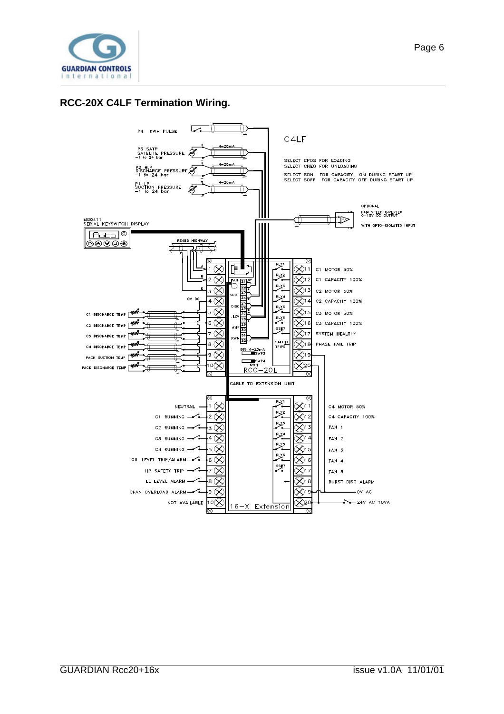

### **RCC-20X C4LF Termination Wiring.**

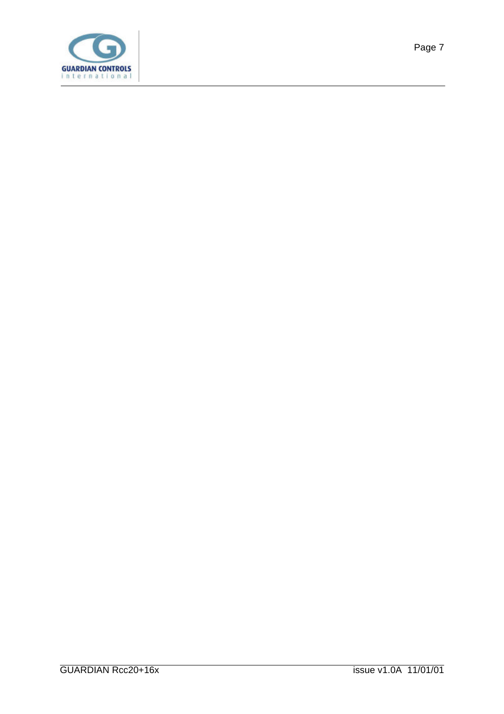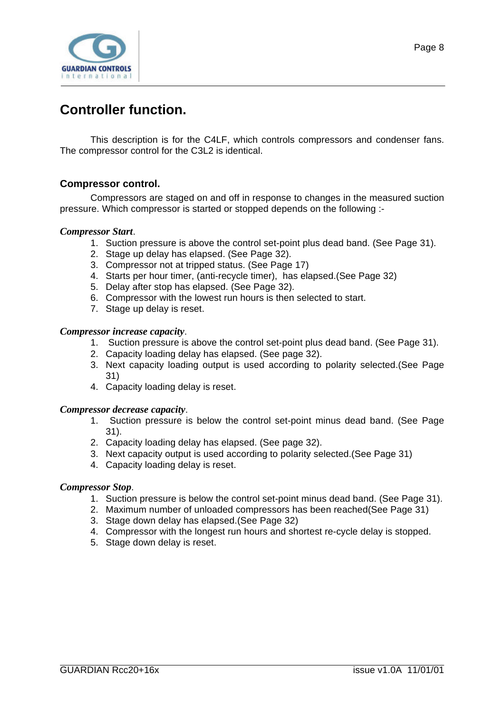

### **Controller function.**

This description is for the C4LF, which controls compressors and condenser fans. The compressor control for the C3L2 is identical.

#### **Compressor control.**

Compressors are staged on and off in response to changes in the measured suction pressure. Which compressor is started or stopped depends on the following :-

#### *Compressor Start*.

- 1. Suction pressure is above the control set-point plus dead band. (See Page 31).
- 2. Stage up delay has elapsed. (See Page 32).
- 3. Compressor not at tripped status. (See Page 17)
- 4. Starts per hour timer, (anti-recycle timer), has elapsed.(See Page 32)
- 5. Delay after stop has elapsed. (See Page 32).
- 6. Compressor with the lowest run hours is then selected to start.
- 7. Stage up delay is reset.

#### *Compressor increase capacity*.

- 1. Suction pressure is above the control set-point plus dead band. (See Page 31).
- 2. Capacity loading delay has elapsed. (See page 32).
- 3. Next capacity loading output is used according to polarity selected.(See Page 31)
- 4. Capacity loading delay is reset.

#### *Compressor decrease capacity*.

- 1. Suction pressure is below the control set-point minus dead band. (See Page 31).
- 2. Capacity loading delay has elapsed. (See page 32).
- 3. Next capacity output is used according to polarity selected.(See Page 31)
- 4. Capacity loading delay is reset.

#### *Compressor Stop*.

- 1. Suction pressure is below the control set-point minus dead band. (See Page 31).
- 2. Maximum number of unloaded compressors has been reached(See Page 31)
- 3. Stage down delay has elapsed.(See Page 32)
- 4. Compressor with the longest run hours and shortest re-cycle delay is stopped.
- 5. Stage down delay is reset.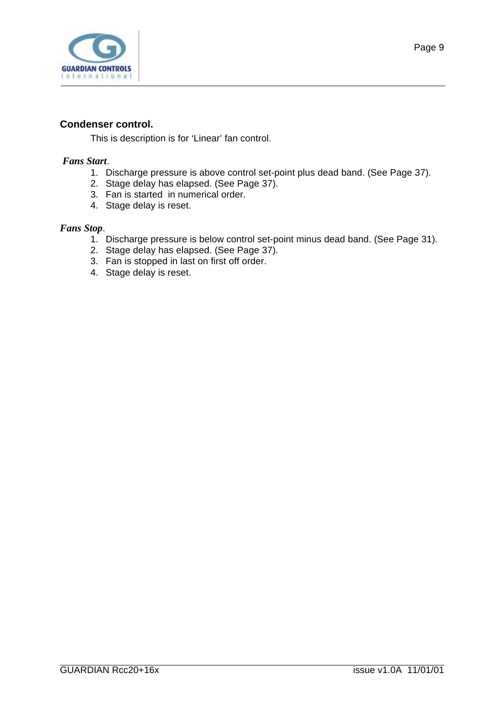

### **Condenser control.**

This is description is for 'Linear' fan control.

#### *Fans Start*.

- 1. Discharge pressure is above control set-point plus dead band. (See Page 37).
- 2. Stage delay has elapsed. (See Page 37).
- 3. Fan is started in numerical order.
- 4. Stage delay is reset.

#### *Fans Stop*.

- 1. Discharge pressure is below control set-point minus dead band. (See Page 31).
- 2. Stage delay has elapsed. (See Page 37).
- 3. Fan is stopped in last on first off order.
- 4. Stage delay is reset.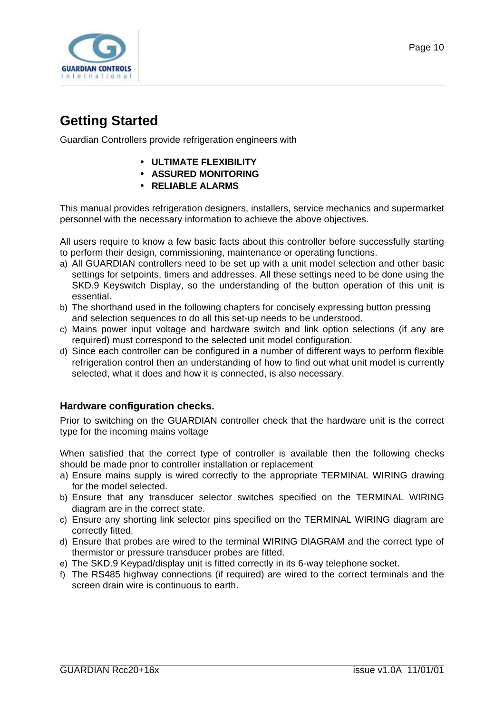

### **Getting Started**

Guardian Controllers provide refrigeration engineers with

- **ULTIMATE FLEXIBILITY**
- **ASSURED MONITORING**
- **RELIABLE ALARMS**

This manual provides refrigeration designers, installers, service mechanics and supermarket personnel with the necessary information to achieve the above objectives.

All users require to know a few basic facts about this controller before successfully starting to perform their design, commissioning, maintenance or operating functions.

- a) All GUARDIAN controllers need to be set up with a unit model selection and other basic settings for setpoints, timers and addresses. All these settings need to be done using the SKD.9 Keyswitch Display, so the understanding of the button operation of this unit is essential.
- b) The shorthand used in the following chapters for concisely expressing button pressing and selection sequences to do all this set-up needs to be understood.
- c) Mains power input voltage and hardware switch and link option selections (if any are required) must correspond to the selected unit model configuration.
- d) Since each controller can be configured in a number of different ways to perform flexible refrigeration control then an understanding of how to find out what unit model is currently selected, what it does and how it is connected, is also necessary.

### **Hardware configuration checks.**

Prior to switching on the GUARDIAN controller check that the hardware unit is the correct type for the incoming mains voltage

When satisfied that the correct type of controller is available then the following checks should be made prior to controller installation or replacement

- a) Ensure mains supply is wired correctly to the appropriate TERMINAL WIRING drawing for the model selected.
- b) Ensure that any transducer selector switches specified on the TERMINAL WIRING diagram are in the correct state.
- c) Ensure any shorting link selector pins specified on the TERMINAL WIRING diagram are correctly fitted.
- d) Ensure that probes are wired to the terminal WIRING DIAGRAM and the correct type of thermistor or pressure transducer probes are fitted.
- e) The SKD.9 Keypad/display unit is fitted correctly in its 6-way telephone socket.
- f) The RS485 highway connections (if required) are wired to the correct terminals and the screen drain wire is continuous to earth.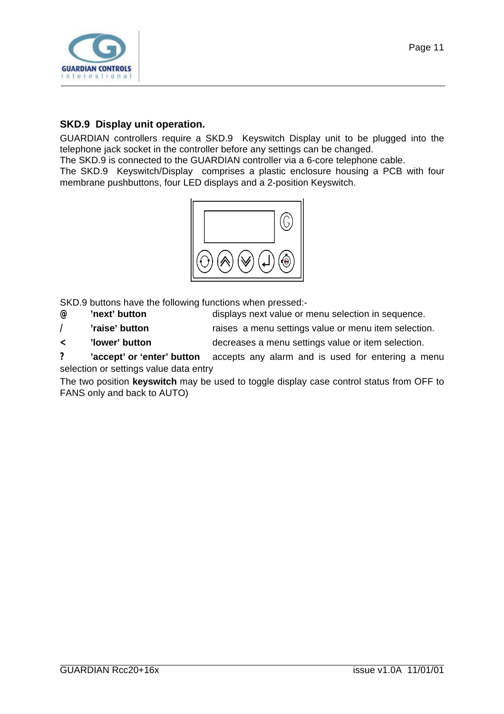

### **SKD.9 Display unit operation.**

GUARDIAN controllers require a SKD.9 Keyswitch Display unit to be plugged into the telephone jack socket in the controller before any settings can be changed.

The SKD.9 is connected to the GUARDIAN controller via a 6-core telephone cable.

The SKD.9 Keyswitch/Display comprises a plastic enclosure housing a PCB with four membrane pushbuttons, four LED displays and a 2-position Keyswitch.



SKD.9 buttons have the following functions when pressed:-

**@ 'next' button** displays next value or menu selection in sequence.

**/ 'raise' button** raises a menu settings value or menu item selection.

**< 'lower' button** decreases a menu settings value or item selection.

**? 'accept' or 'enter' button** accepts any alarm and is used for entering a menu selection or settings value data entry

The two position **keyswitch** may be used to toggle display case control status from OFF to FANS only and back to AUTO)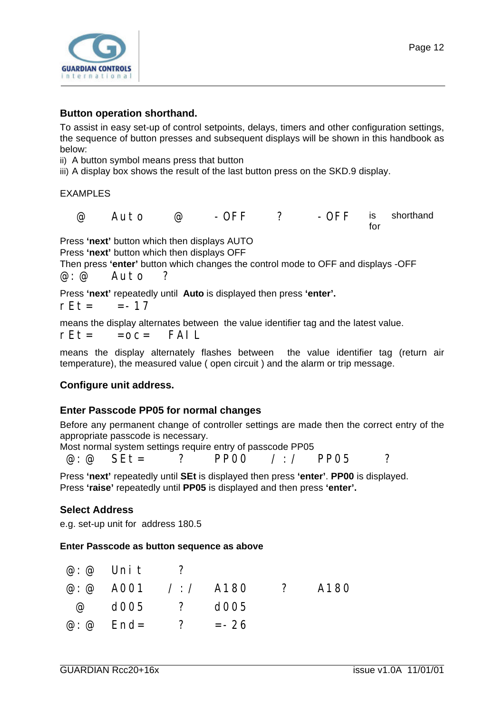

### **Button operation shorthand.**

To assist in easy set-up of control setpoints, delays, timers and other configuration settings, the sequence of button presses and subsequent displays will be shown in this handbook as below:

ii) A button symbol means press that button

iii) A display box shows the result of the last button press on the SKD.9 display.

#### EXAMPLES

@ Auto @ -OFF ? -OFF is shorthand

for

Press **'next'** button which then displays AUTO

Press **'next'** button which then displays OFF

Then press **'enter'** button which changes the control mode to OFF and displays -OFF @:@ Auto ?

Press **'next'** repeatedly until **Auto** is displayed then press **'enter'.**

 $rFt = -17$ 

means the display alternates between the value identifier tag and the latest value.

 $rFt=-\infty c=-FAH$ 

means the display alternately flashes between the value identifier tag (return air temperature), the measured value ( open circuit ) and the alarm or trip message.

### **Configure unit address.**

### **Enter Passcode PP05 for normal changes**

Before any permanent change of controller settings are made then the correct entry of the appropriate passcode is necessary.

Most normal system settings require entry of passcode PP05

@:@ SEt= ? PP00 /:/ PP05 ?

Press **'next'** repeatedly until **SEt** is displayed then press **'enter'**. **PP00** is displayed. Press **'raise'** repeatedly until **PP05** is displayed and then press **'enter'.**

#### **Select Address**

e.g. set-up unit for address 180.5

#### **Enter Passcode as button sequence as above**

| $\varpi$ $\varpi$ $\varpi$ $\varpi$ $\varpi$ $\varpi$ |  |  |
|-------------------------------------------------------|--|--|
| @ @ A001 / / A180 ? A180                              |  |  |
| @ d005 ? d005                                         |  |  |
| $\omega$ $\omega$ Fnd= ? =-26                         |  |  |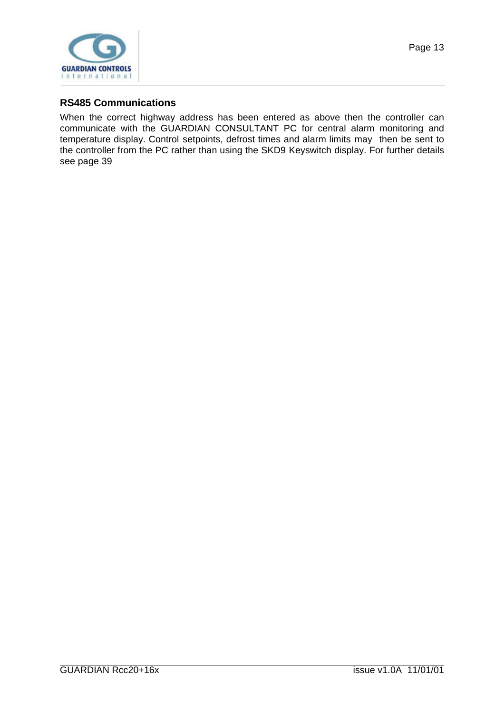

### **RS485 Communications**

When the correct highway address has been entered as above then the controller can communicate with the GUARDIAN CONSULTANT PC for central alarm monitoring and temperature display. Control setpoints, defrost times and alarm limits may then be sent to the controller from the PC rather than using the SKD9 Keyswitch display. For further details see page 39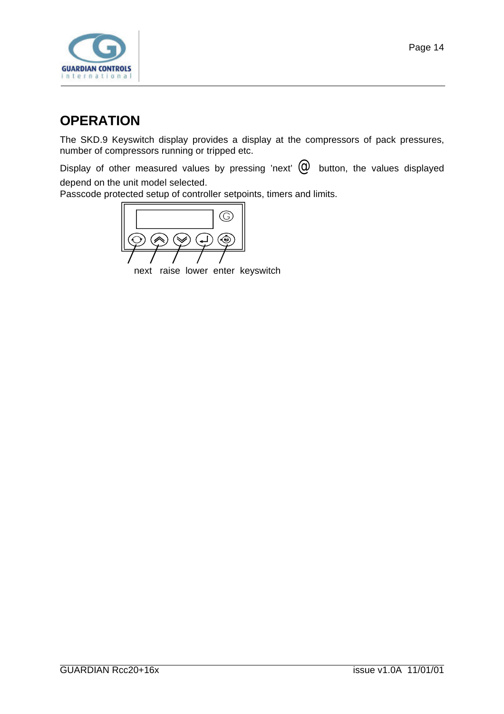

The SKD.9 Keyswitch display provides a display at the compressors of pack pressures, number of compressors running or tripped etc.

Display of other measured values by pressing 'next'  $\mathbb{\mathbb{C}}$  button, the values displayed depend on the unit model selected.

Passcode protected setup of controller setpoints, timers and limits.

C (⊜

next raise lower enter keyswitch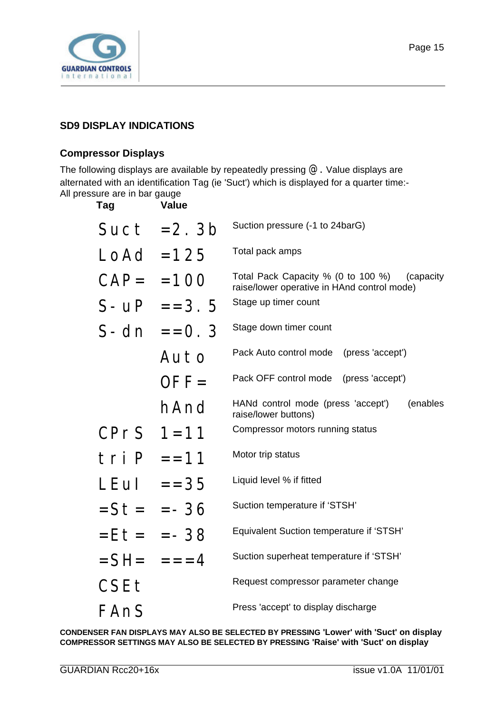

### **Compressor Displays**

The following displays are available by repeatedly pressing  $\mathcal Q$ . Value displays are alternated with an identification Tag (ie 'Suct') which is displayed for a quarter time:- All pressure are in bar gauge

| Tag                  | <b>Value</b>  |                                                                                                 |
|----------------------|---------------|-------------------------------------------------------------------------------------------------|
|                      | $Suct = 2.3b$ | Suction pressure (-1 to 24barG)                                                                 |
| $\textsf{Lodd}$ =125 |               | Total pack amps                                                                                 |
| $CAP=$               | $=100$        | Total Pack Capacity % (0 to 100 %)<br>(capacity)<br>raise/lower operative in HAnd control mode) |
|                      | $S-UP = 3.5$  | Stage up timer count                                                                            |
|                      | $S-dn = 0.3$  | Stage down timer count                                                                          |
|                      | Auto          | Pack Auto control mode<br>(press 'accept')                                                      |
|                      | $OFF =$       | Pack OFF control mode<br>(press 'accept')                                                       |
|                      | hAnd          | HANd control mode (press 'accept')<br>(enables<br>raise/lower buttons)                          |
| $CPrS = 1 = 11$      |               | Compressor motors running status                                                                |
| $tri P = 11$         |               | Motor trip status                                                                               |
| $LEul = 35$          |               | Liquid level % if fitted                                                                        |
| $= 5t = -36$         |               | Suction temperature if 'STSH'                                                                   |
| $= E t = -38$        |               | Equivalent Suction temperature if 'STSH'                                                        |
| $= S H = = = 4$      |               | Suction superheat temperature if 'STSH'                                                         |
| CSEt                 |               | Request compressor parameter change                                                             |
| FAnS                 |               | Press 'accept' to display discharge                                                             |
|                      |               |                                                                                                 |

**CONDENSER FAN DISPLAYS MAY ALSO BE SELECTED BY PRESSING 'Lower' with 'Suct' on display COMPRESSOR SETTINGS MAY ALSO BE SELECTED BY PRESSING 'Raise' with 'Suct' on display**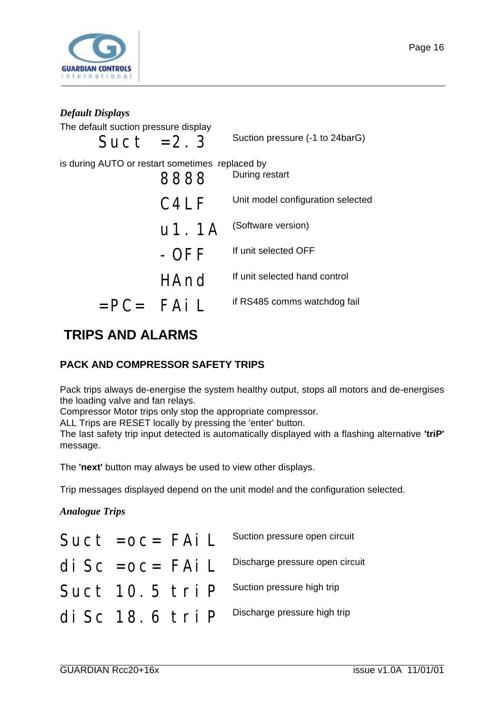

### *Default Displays* The default suction pressure display  $SUCt = 2.3$  Suction pressure (-1 to 24barG) is during AUTO or restart sometimes replaced by 8888 During restart  $\bigcap_{\mathcal{A}}$   $\big|$   $\ \sqsubset$  Unit model configuration selected  $\begin{array}{cc} 1 & 1 \end{array}$  (Software version)  $-\bigcap_{i=1}^n \Box_i$  If unit selected OFF  $H_A \cap A$  If unit selected hand control  $=$   $\bigcap C$  =  $\bigcap A$  | | if RS485 comms watchdog fail

### **TRIPS AND ALARMS**

### **PACK AND COMPRESSOR SAFETY TRIPS**

Pack trips always de-energise the system healthy output, stops all motors and de-energises the loading valve and fan relays.

Compressor Motor trips only stop the appropriate compressor.

ALL Trips are RESET locally by pressing the 'enter' button.

The last safety trip input detected is automatically displayed with a flashing alternative **'triP'** message.

The **'next'** button may always be used to view other displays.

Trip messages displayed depend on the unit model and the configuration selected.

### *Analogue Trips*

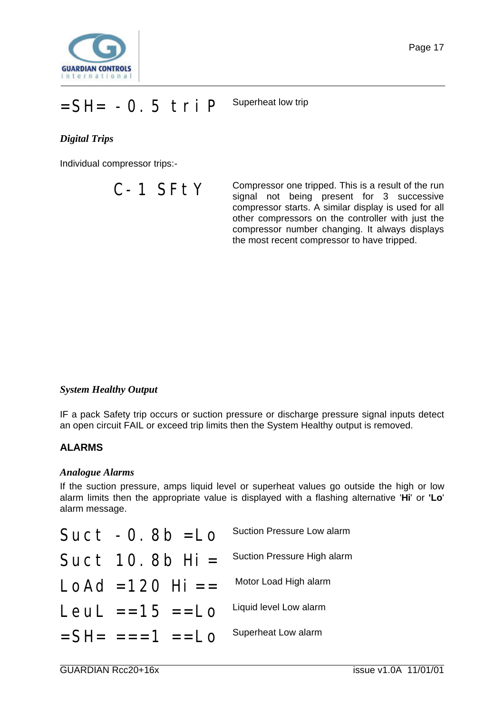

### $=$   $SH$  =  $O.5$   $+$   $r$   $+$   $P$  Superheat low trip

### *Digital Trips*

Individual compressor trips:-



 $C-1$  SF  $+$  Y Compressor one tripped. This is a result of the run signal not being present for 3 successive compressor starts. A similar display is used for all other compressors on the controller with just the compressor number changing. It always displays the most recent compressor to have tripped.

### *System Healthy Output*

IF a pack Safety trip occurs or suction pressure or discharge pressure signal inputs detect an open circuit FAIL or exceed trip limits then the System Healthy output is removed.

### **ALARMS**

#### *Analogue Alarms*

If the suction pressure, amps liquid level or superheat values go outside the high or low alarm limits then the appropriate value is displayed with a flashing alternative '**Hi**' or **'Lo**' alarm message.

| $Suct -0.8h = 0$                 | Suction Pressure Low alarm  |
|----------------------------------|-----------------------------|
| Suct 10. 8b Hi =                 | Suction Pressure High alarm |
| $\text{LOAd} = 120 \text{ Hi} =$ | Motor Load High alarm       |
| $ $ eul ==15 == $ $ 0            | Liquid level Low alarm      |
| $=$ SH= ===1 == $ $ $\cap$       | Superheat Low alarm         |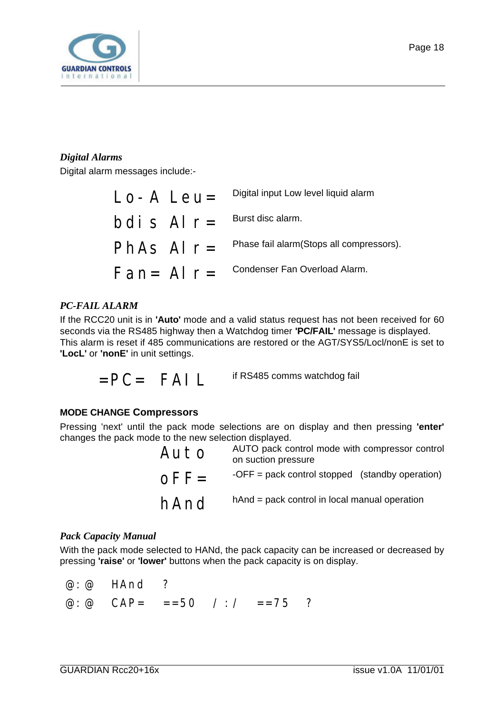

### *Digital Alarms*

Digital alarm messages include:-

| $O - A$ $\leq$ $I =$                               | Digital input Low level liquid alarm                         |
|----------------------------------------------------|--------------------------------------------------------------|
| $\text{Doli } S \text{ Al } r =$ Burst disc alarm. |                                                              |
|                                                    | $PMS$ Al $\Gamma =$ Phase fail alarm(Stops all compressors). |
| $Fan = Alr =$                                      | Condenser Fan Overload Alarm.                                |

### *PC-FAIL ALARM*

If the RCC20 unit is in **'Auto'** mode and a valid status request has not been received for 60 seconds via the RS485 highway then a Watchdog timer **'PC/FAIL'** message is displayed. This alarm is reset if 485 communications are restored or the AGT/SYS5/Locl/nonE is set to **'LocL'** or **'nonE'** in unit settings.

 $=$   $\bigcap C$  =  $\bigcap A$  | | if RS485 comms watchdog fail

### **MODE CHANGE Compressors**

Pressing 'next' until the pack mode selections are on display and then pressing **'enter'** changes the pack mode to the new selection displayed.

| Auto                              | AUTO pack control mode with compressor control<br>on suction pressure |
|-----------------------------------|-----------------------------------------------------------------------|
| $\bigcap$ $\bigcap$ $\bigcap$ $=$ | -OFF = pack control stopped $(s$ tandby operation)                    |
| hAnd                              | hAnd = pack control in local manual operation                         |

### *Pack Capacity Manual*

With the pack mode selected to HANd, the pack capacity can be increased or decreased by pressing **'raise'** or **'lower'** buttons when the pack capacity is on display.

 @:@ HAnd ? @:@ CAP= ==50 /:/ ==75 ?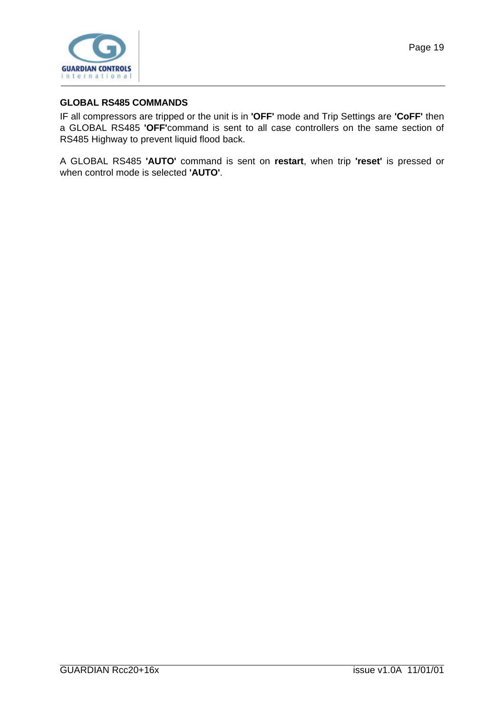

### **GLOBAL RS485 COMMANDS**

IF all compressors are tripped or the unit is in **'OFF'** mode and Trip Settings are **'CoFF'** then a GLOBAL RS485 **'OFF'**command is sent to all case controllers on the same section of RS485 Highway to prevent liquid flood back.

A GLOBAL RS485 **'AUTO'** command is sent on **restart**, when trip **'reset'** is pressed or when control mode is selected **'AUTO'**.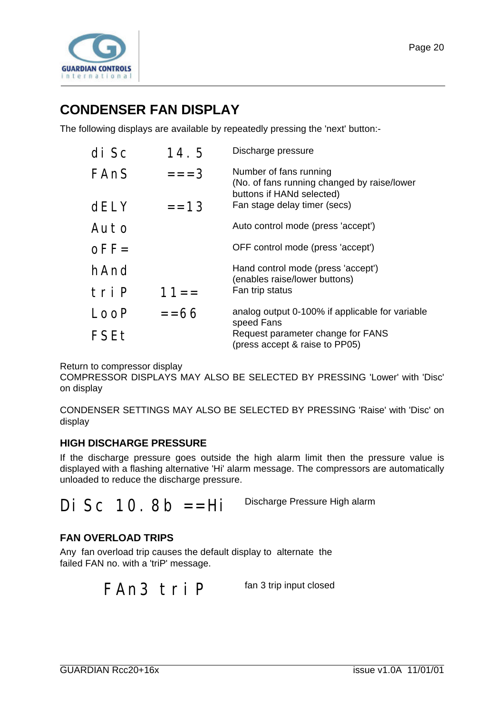

### **CONDENSER FAN DISPLAY**

The following displays are available by repeatedly pressing the 'next' button:-

| di Sc       | 14.5        | Discharge pressure                                                                                 |
|-------------|-------------|----------------------------------------------------------------------------------------------------|
| FAnS        | $=$ = $=$ 3 | Number of fans running<br>(No. of fans running changed by raise/lower<br>buttons if HANd selected) |
| <b>CELY</b> | $=$ = 1.3   | Fan stage delay timer (secs)                                                                       |
| Auto        |             | Auto control mode (press 'accept')                                                                 |
| $OFF =$     |             | OFF control mode (press 'accept')                                                                  |
| hAnd        |             | Hand control mode (press 'accept')<br>(enables raise/lower buttons)                                |
| tri P       | $11 ==$     | Fan trip status                                                                                    |
|             | $=66$       | analog output 0-100% if applicable for variable<br>speed Fans                                      |
| FSF t       |             | Request parameter change for FANS<br>(press accept & raise to PP05)                                |

Return to compressor display

COMPRESSOR DISPLAYS MAY ALSO BE SELECTED BY PRESSING 'Lower' with 'Disc' on display

CONDENSER SETTINGS MAY ALSO BE SELECTED BY PRESSING 'Raise' with 'Disc' on display

### **HIGH DISCHARGE PRESSURE**

If the discharge pressure goes outside the high alarm limit then the pressure value is displayed with a flashing alternative 'Hi' alarm message. The compressors are automatically unloaded to reduce the discharge pressure.

 $D_i$  Sc 10. 8b  $=$  $H_i$  Discharge Pressure High alarm

### **FAN OVERLOAD TRIPS**

Any fan overload trip causes the default display to alternate the failed FAN no. with a 'triP' message.

 $FAN3 + FIP$  fan 3 trip input closed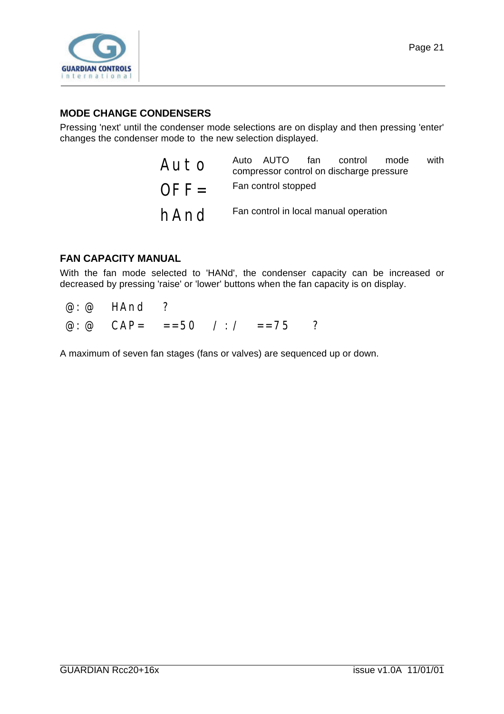

### **MODE CHANGE CONDENSERS**

Pressing 'next' until the condenser mode selections are on display and then pressing 'enter' changes the condenser mode to the new selection displayed.

| Auto                 |                     | Auto AUTO fan control<br>compressor control on discharge pressure | mode | with |
|----------------------|---------------------|-------------------------------------------------------------------|------|------|
| $() \vdash \vdash =$ | Fan control stopped |                                                                   |      |      |
| hAnd                 |                     | Fan control in local manual operation                             |      |      |

### **FAN CAPACITY MANUAL**

With the fan mode selected to 'HANd', the condenser capacity can be increased or decreased by pressing 'raise' or 'lower' buttons when the fan capacity is on display.

@:@ HAnd ?

 $\omega$ :  $\omega$  CAP= ==50 /:/ ==75 ?

A maximum of seven fan stages (fans or valves) are sequenced up or down.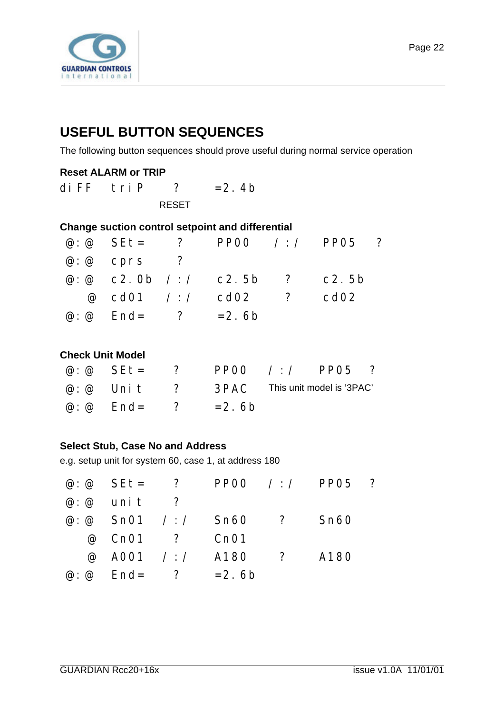

### **USEFUL BUTTON SEQUENCES**

The following button sequences should prove useful during normal service operation

### **Reset ALARM or TRIP**

diFF  $tri P$  ? = 2.4b RESET

### **Change suction control setpoint and differential**

|                                  | $@: @$ SEt= ? PPOO /:/ PPO5 ?     |      |  |
|----------------------------------|-----------------------------------|------|--|
| @ cprs ?                         |                                   |      |  |
|                                  | @ @ $c2.0b$ /:/ $c2.5b$ ? $c2.5b$ |      |  |
|                                  | @ cd01 /:/ cd02 ?                 | CdO2 |  |
| $\omega$ $\omega$ Fnd= ? = 2.6 b |                                   |      |  |

### **Check Unit Model**

|  | $\omega_1 \omega_2$ SF t = 2 PP00 /:/ PP05 ?                                                                                                                                                                                                                                                                                                 |  |  |
|--|----------------------------------------------------------------------------------------------------------------------------------------------------------------------------------------------------------------------------------------------------------------------------------------------------------------------------------------------|--|--|
|  | $\varpi$ $\varpi$ $\varpi$ $\varpi$ $\varpi$ $\varpi$ $\varpi$ $\varpi$ $\varpi$ $\varpi$ $\varpi$ $\varpi$ $\varpi$ $\varpi$ $\varpi$ $\varpi$ $\varpi$ $\varpi$ $\varpi$ $\varpi$ $\varpi$ $\varpi$ $\varpi$ $\varpi$ $\varpi$ $\varpi$ $\varpi$ $\varpi$ $\varpi$ $\varpi$ $\varpi$ $\varpi$ $\varpi$ $\varpi$ $\varpi$ $\varpi$ $\varpi$ |  |  |
|  | $\omega$ $\omega$ Fnd= ? = 2.6 b                                                                                                                                                                                                                                                                                                             |  |  |

### **Select Stub, Case No and Address**

e.g. setup unit for system 60, case 1, at address 180

|                          |               | @ @ SEt= ? PP00 / / PP05 ? |  |  |
|--------------------------|---------------|----------------------------|--|--|
| $\omega$ $\omega$ unit ? |               |                            |  |  |
|                          |               | @ @ Sn01 / / Sn60 ? Sn60   |  |  |
|                          | @ Cn01 ? Cn01 |                            |  |  |
|                          |               | @ A001 /:/ A180 ? A180     |  |  |
|                          |               | $\omega$ Fnd= ? = 2.6b     |  |  |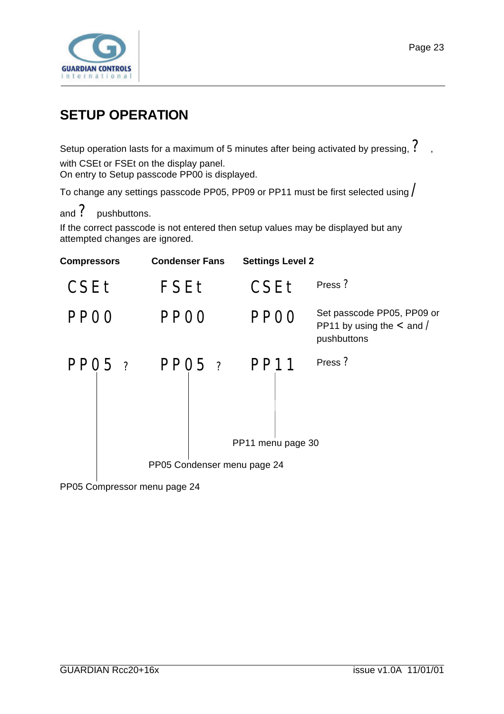

### **SETUP OPERATION**

Setup operation lasts for a maximum of 5 minutes after being activated by pressing,  $\widehat{?}$ , with CSEt or FSEt on the display panel.

On entry to Setup passcode PP00 is displayed.

To change any settings passcode PP05, PP09 or PP11 must be first selected using  $\sqrt{ }$ 

### and  $\widehat{ }$  pushbuttons.

If the correct passcode is not entered then setup values may be displayed but any attempted changes are ignored.

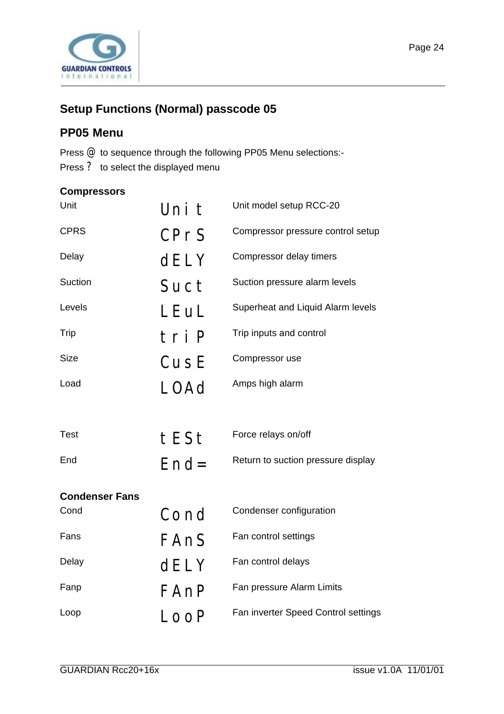

### **Setup Functions (Normal) passcode 05**

### **PP05 Menu**

Press  $@$  to sequence through the following PP05 Menu selections:-Press ? to select the displayed menu

**Compressors**

| Unit                  | Uni t       | Unit model setup RCC-20            |
|-----------------------|-------------|------------------------------------|
| <b>CPRS</b>           | CPrS        | Compressor pressure control setup  |
| Delay                 | dELY        | Compressor delay timers            |
| Suction               | Suct        | Suction pressure alarm levels      |
| Levels                | LEuL        | Superheat and Liquid Alarm levels  |
| Trip                  | tri P       | Trip inputs and control            |
| <b>Size</b>           | CusE        | Compressor use                     |
| Load                  | LOAd        | Amps high alarm                    |
|                       |             |                                    |
| <b>Test</b>           | tESt        | Force relays on/off                |
| End                   | $End=$      | Return to suction pressure display |
|                       |             |                                    |
| <b>Condenser Fans</b> |             |                                    |
| Cond                  | Cond        | Condenser configuration            |
| Fans                  | FAnS        | Fan control settings               |
| Delay                 | <b>UELY</b> | Fan control delays                 |
| Fanp                  | FAnP        | Fan pressure Alarm Limits          |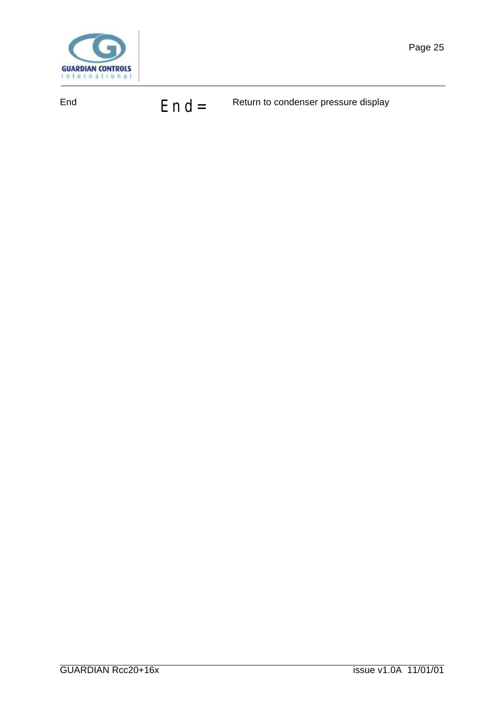

End  $E \cap C =$  Return to condenser pressure display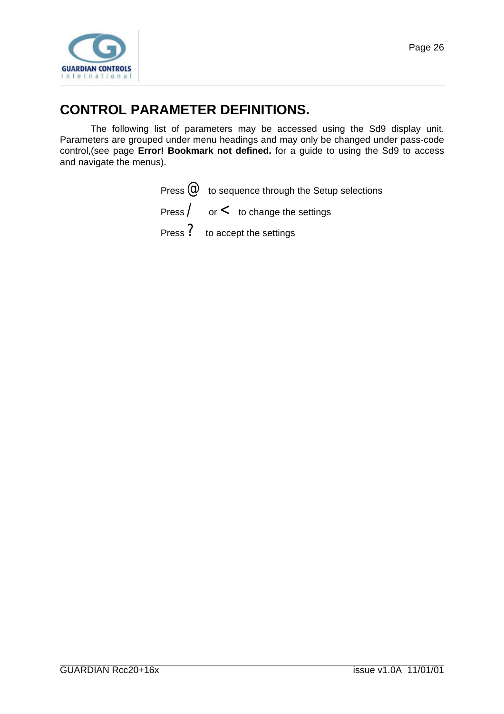

### **CONTROL PARAMETER DEFINITIONS.**

The following list of parameters may be accessed using the Sd9 display unit. Parameters are grouped under menu headings and may only be changed under pass-code control,(see page **Error! Bookmark not defined.** for a guide to using the Sd9 to access and navigate the menus).

Press  $@$  to sequence through the Setup selections

Press  $/$  or  $<$  to change the settings

Press  $\widehat{?}$  to accept the settings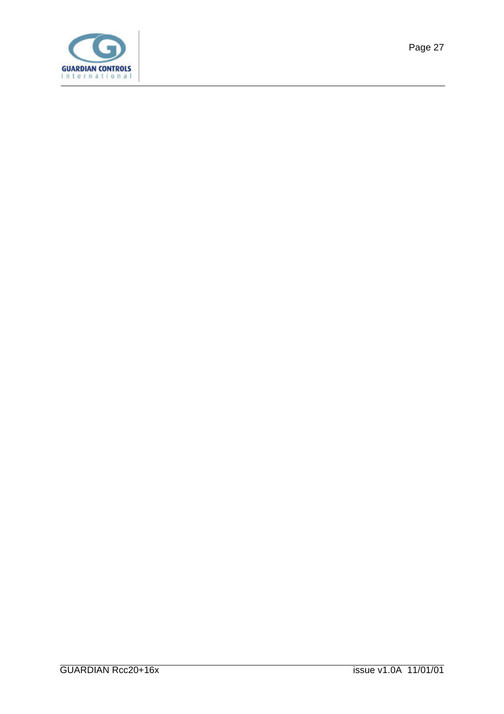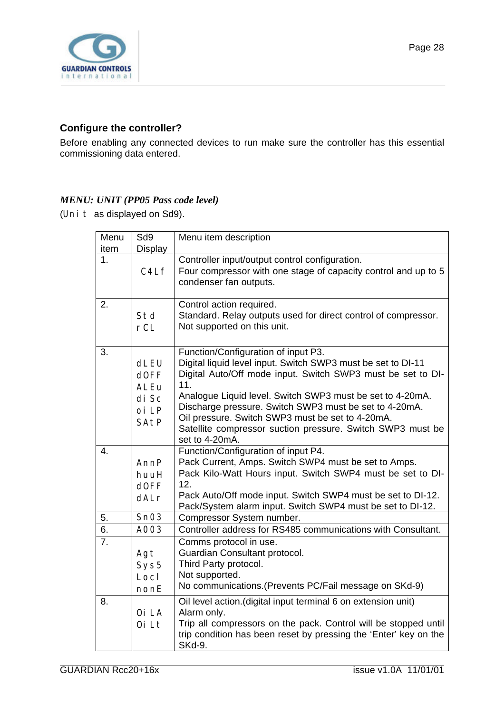

### **Configure the controller?**

Before enabling any connected devices to run make sure the controller has this essential commissioning data entered.

### *MENU: UNIT (PP05 Pass code level)*

(Unit as displayed on Sd9).

| Menu<br>item     | Sd9<br><b>Display</b>                                 | Menu item description                                                                                                                                                                                                                                                                                                                                                                                                                |
|------------------|-------------------------------------------------------|--------------------------------------------------------------------------------------------------------------------------------------------------------------------------------------------------------------------------------------------------------------------------------------------------------------------------------------------------------------------------------------------------------------------------------------|
| 1.               | C4Lf                                                  | Controller input/output control configuration.<br>Four compressor with one stage of capacity control and up to 5<br>condenser fan outputs.                                                                                                                                                                                                                                                                                           |
| 2.               | Std<br>rCL                                            | Control action required.<br>Standard. Relay outputs used for direct control of compressor.<br>Not supported on this unit.                                                                                                                                                                                                                                                                                                            |
| 3.               | dLEU<br><b>dOFF</b><br>ALEu<br>di Sc<br>oi LP<br>SAtP | Function/Configuration of input P3.<br>Digital liquid level input. Switch SWP3 must be set to DI-11<br>Digital Auto/Off mode input. Switch SWP3 must be set to DI-<br>11.<br>Analogue Liquid level. Switch SWP3 must be set to 4-20mA.<br>Discharge pressure. Switch SWP3 must be set to 4-20mA.<br>Oil pressure. Switch SWP3 must be set to 4-20mA.<br>Satellite compressor suction pressure. Switch SWP3 must be<br>set to 4-20mA. |
| 4.               | AnnP<br>huuH<br><b>dOFF</b><br><b>dALr</b>            | Function/Configuration of input P4.<br>Pack Current, Amps. Switch SWP4 must be set to Amps.<br>Pack Kilo-Watt Hours input. Switch SWP4 must be set to DI-<br>12.<br>Pack Auto/Off mode input. Switch SWP4 must be set to DI-12.<br>Pack/System alarm input. Switch SWP4 must be set to DI-12.                                                                                                                                        |
| 5.               | SnO3                                                  | Compressor System number.                                                                                                                                                                                                                                                                                                                                                                                                            |
| 6.               | A003                                                  | Controller address for RS485 communications with Consultant.                                                                                                                                                                                                                                                                                                                                                                         |
| $\overline{7}$ . | Agt<br>Sys5<br>Locl<br>nonE                           | Comms protocol in use.<br>Guardian Consultant protocol.<br>Third Party protocol.<br>Not supported.<br>No communications. (Prevents PC/Fail message on SKd-9)                                                                                                                                                                                                                                                                         |
| 8.               | Oi LA<br>Oi Lt                                        | Oil level action. (digital input terminal 6 on extension unit)<br>Alarm only.<br>Trip all compressors on the pack. Control will be stopped until<br>trip condition has been reset by pressing the 'Enter' key on the<br>SKd-9.                                                                                                                                                                                                       |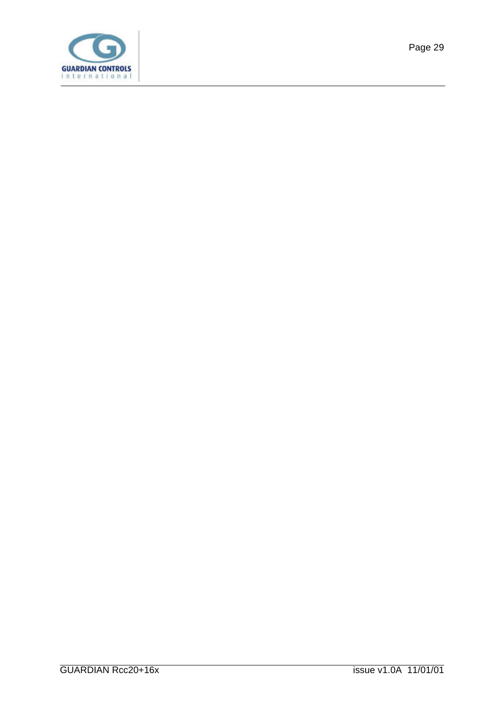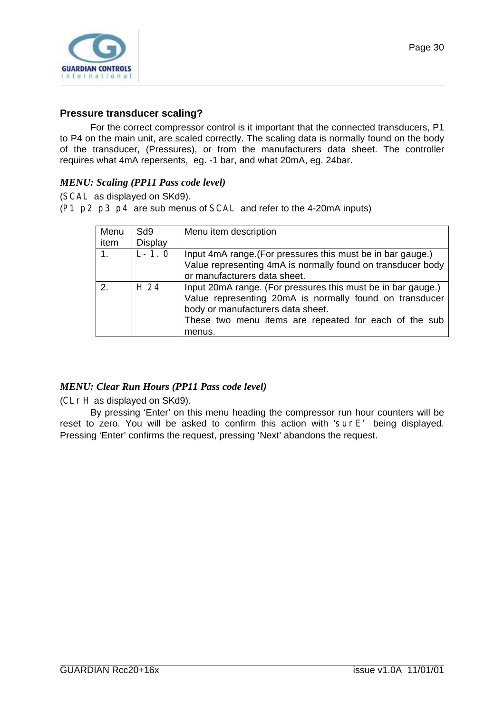

### **Pressure transducer scaling?**

For the correct compressor control is it important that the connected transducers, P1 to P4 on the main unit, are scaled correctly. The scaling data is normally found on the body of the transducer, (Pressures), or from the manufacturers data sheet. The controller requires what 4mA repersents, eg. -1 bar, and what 20mA, eg. 24bar.

#### *MENU: Scaling (PP11 Pass code level)*

(SCAL as displayed on SKd9).

(P1 p2 p3 p4 are sub menus of SCAL and refer to the 4-20mA inputs)

| Menu                        | Sd <sub>9</sub> | Menu item description                                        |
|-----------------------------|-----------------|--------------------------------------------------------------|
| item                        | <b>Display</b>  |                                                              |
| 1.                          | $-1.0$          | Input 4mA range. (For pressures this must be in bar gauge.)  |
|                             |                 | Value representing 4mA is normally found on transducer body  |
|                             |                 | or manufacturers data sheet.                                 |
| $\mathcal{P}_{\mathcal{C}}$ | H 24            | Input 20mA range. (For pressures this must be in bar gauge.) |
|                             |                 | Value representing 20mA is normally found on transducer      |
|                             |                 | body or manufacturers data sheet.                            |
|                             |                 | These two menu items are repeated for each of the sub        |
|                             |                 | menus.                                                       |

#### *MENU: Clear Run Hours (PP11 Pass code level)*

(CLrH as displayed on SKd9).

By pressing 'Enter' on this menu heading the compressor run hour counters will be reset to zero. You will be asked to confirm this action with 'sur E' being displayed. Pressing 'Enter' confirms the request, pressing 'Next' abandons the request.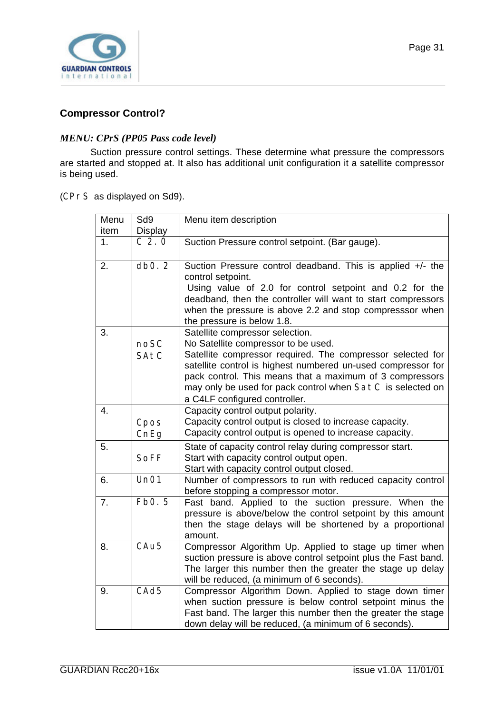

### **Compressor Control?**

#### *MENU: CPrS (PP05 Pass code level)*

Suction pressure control settings. These determine what pressure the compressors are started and stopped at. It also has additional unit configuration it a satellite compressor is being used.

(CPrS as displayed on Sd9).

| Menu | Sd9     | Menu item description                                                                                                    |
|------|---------|--------------------------------------------------------------------------------------------------------------------------|
| item | Display |                                                                                                                          |
| 1.   | C 2. O  | Suction Pressure control setpoint. (Bar gauge).                                                                          |
|      |         |                                                                                                                          |
| 2.   | db0.2   | Suction Pressure control deadband. This is applied +/- the                                                               |
|      |         | control setpoint.                                                                                                        |
|      |         | Using value of 2.0 for control setpoint and 0.2 for the                                                                  |
|      |         | deadband, then the controller will want to start compressors                                                             |
|      |         | when the pressure is above 2.2 and stop compresssor when                                                                 |
| 3.   |         | the pressure is below 1.8.<br>Satellite compressor selection.                                                            |
|      | noSC    | No Satellite compressor to be used.                                                                                      |
|      | SAtC    | Satellite compressor required. The compressor selected for                                                               |
|      |         | satellite control is highest numbered un-used compressor for                                                             |
|      |         | pack control. This means that a maximum of 3 compressors                                                                 |
|      |         | may only be used for pack control when SatC is selected on                                                               |
|      |         | a C4LF configured controller.                                                                                            |
| 4.   |         | Capacity control output polarity.                                                                                        |
|      | Cpos    | Capacity control output is closed to increase capacity.                                                                  |
|      | CnEg    | Capacity control output is opened to increase capacity.                                                                  |
| 5.   |         | State of capacity control relay during compressor start.                                                                 |
|      | SoFF    | Start with capacity control output open.                                                                                 |
|      |         | Start with capacity control output closed.                                                                               |
| 6.   | Un01    | Number of compressors to run with reduced capacity control                                                               |
|      |         | before stopping a compressor motor.                                                                                      |
| 7.   | Fb0. 5  | Fast band. Applied to the suction pressure. When the                                                                     |
|      |         | pressure is above/below the control setpoint by this amount<br>then the stage delays will be shortened by a proportional |
|      |         | amount.                                                                                                                  |
| 8.   | CAu5    | Compressor Algorithm Up. Applied to stage up timer when                                                                  |
|      |         | suction pressure is above control setpoint plus the Fast band.                                                           |
|      |         | The larger this number then the greater the stage up delay                                                               |
|      |         | will be reduced, (a minimum of 6 seconds).                                                                               |
| 9.   | CAd5    | Compressor Algorithm Down. Applied to stage down timer                                                                   |
|      |         | when suction pressure is below control setpoint minus the                                                                |
|      |         | Fast band. The larger this number then the greater the stage                                                             |
|      |         | down delay will be reduced, (a minimum of 6 seconds).                                                                    |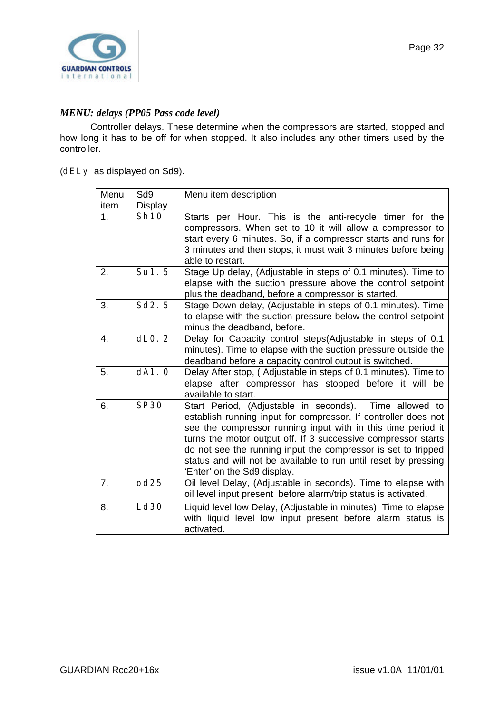

### *MENU: delays (PP05 Pass code level)*

Controller delays. These determine when the compressors are started, stopped and how long it has to be off for when stopped. It also includes any other timers used by the controller.

(dELy as displayed on Sd9).

| Menu | Sd9            | Menu item description                                                                                                                                                                                                                                                                                                                                                                                                        |
|------|----------------|------------------------------------------------------------------------------------------------------------------------------------------------------------------------------------------------------------------------------------------------------------------------------------------------------------------------------------------------------------------------------------------------------------------------------|
| item | <b>Display</b> |                                                                                                                                                                                                                                                                                                                                                                                                                              |
| 1.   | Sh10           | Starts per Hour. This is the anti-recycle timer for the<br>compressors. When set to 10 it will allow a compressor to<br>start every 6 minutes. So, if a compressor starts and runs for<br>3 minutes and then stops, it must wait 3 minutes before being<br>able to restart.                                                                                                                                                  |
| 2.   | Su1.5          | Stage Up delay, (Adjustable in steps of 0.1 minutes). Time to<br>elapse with the suction pressure above the control setpoint<br>plus the deadband, before a compressor is started.                                                                                                                                                                                                                                           |
| 3.   | Sd2.5          | Stage Down delay, (Adjustable in steps of 0.1 minutes). Time<br>to elapse with the suction pressure below the control setpoint<br>minus the deadband, before.                                                                                                                                                                                                                                                                |
| 4.   | dLO.2          | Delay for Capacity control steps(Adjustable in steps of 0.1<br>minutes). Time to elapse with the suction pressure outside the<br>deadband before a capacity control output is switched.                                                                                                                                                                                                                                      |
| 5.   | dA1. 0         | Delay After stop, (Adjustable in steps of 0.1 minutes). Time to<br>elapse after compressor has stopped before it will be<br>available to start.                                                                                                                                                                                                                                                                              |
| 6.   | SP30           | Start Period, (Adjustable in seconds). Time allowed to<br>establish running input for compressor. If controller does not<br>see the compressor running input with in this time period it<br>turns the motor output off. If 3 successive compressor starts<br>do not see the running input the compressor is set to tripped<br>status and will not be available to run until reset by pressing<br>'Enter' on the Sd9 display. |
| 7.   | od25           | Oil level Delay, (Adjustable in seconds). Time to elapse with<br>oil level input present before alarm/trip status is activated.                                                                                                                                                                                                                                                                                              |
| 8.   | Ld30           | Liquid level low Delay, (Adjustable in minutes). Time to elapse<br>with liquid level low input present before alarm status is<br>activated.                                                                                                                                                                                                                                                                                  |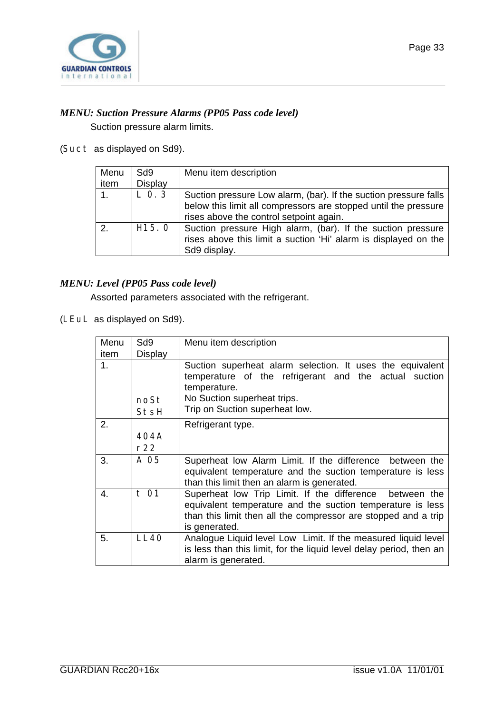

### *MENU: Suction Pressure Alarms (PP05 Pass code level)*

Suction pressure alarm limits.

(Suct as displayed on Sd9).

| Menu<br>item  | Sd9<br><b>Display</b> | Menu item description                                                                                                                                                          |
|---------------|-----------------------|--------------------------------------------------------------------------------------------------------------------------------------------------------------------------------|
|               | L O. 3                | Suction pressure Low alarm, (bar). If the suction pressure falls<br>below this limit all compressors are stopped until the pressure<br>rises above the control setpoint again. |
| $\mathcal{P}$ | H15. O                | Suction pressure High alarm, (bar). If the suction pressure<br>rises above this limit a suction 'Hi' alarm is displayed on the<br>Sd9 display.                                 |

### *MENU: Level (PP05 Pass code level)*

Assorted parameters associated with the refrigerant.

(LEuL as displayed on Sd9).

| Menu<br>item | Sd9<br>Display | Menu item description                                                                                                                                                                               |
|--------------|----------------|-----------------------------------------------------------------------------------------------------------------------------------------------------------------------------------------------------|
| 1.           | noSt<br>StsH   | Suction superheat alarm selection. It uses the equivalent<br>temperature of the refrigerant and the actual suction<br>temperature.<br>No Suction superheat trips.<br>Trip on Suction superheat low. |
| 2.           |                | Refrigerant type.                                                                                                                                                                                   |
|              | 404A           |                                                                                                                                                                                                     |
|              | r 22           |                                                                                                                                                                                                     |
| 3.           | A 05           | Superheat low Alarm Limit. If the difference between the                                                                                                                                            |
|              |                | equivalent temperature and the suction temperature is less                                                                                                                                          |
|              |                | than this limit then an alarm is generated.                                                                                                                                                         |
| 4.           | $+$ 01         | Superheat low Trip Limit. If the difference between the                                                                                                                                             |
|              |                | equivalent temperature and the suction temperature is less                                                                                                                                          |
|              |                | than this limit then all the compressor are stopped and a trip                                                                                                                                      |
|              |                | is generated.                                                                                                                                                                                       |
| 5.           | 40             | Analogue Liquid level Low Limit. If the measured liquid level                                                                                                                                       |
|              |                | is less than this limit, for the liquid level delay period, then an                                                                                                                                 |
|              |                | alarm is generated.                                                                                                                                                                                 |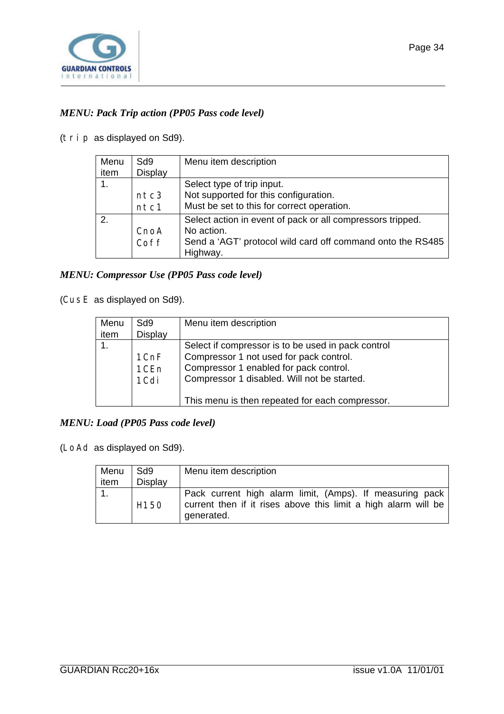

### *MENU: Pack Trip action (PP05 Pass code level)*

 $(t\cap \rho)$  as displayed on Sd9).

| Menu | Sd <sub>9</sub> | Menu item description                                      |
|------|-----------------|------------------------------------------------------------|
| item | <b>Display</b>  |                                                            |
|      |                 | Select type of trip input.                                 |
|      | ntc3            | Not supported for this configuration.                      |
|      | ntc1            | Must be set to this for correct operation.                 |
| 2.   |                 | Select action in event of pack or all compressors tripped. |
|      | CnoA            | No action.                                                 |
|      | Coff            | Send a 'AGT' protocol wild card off command onto the RS485 |
|      |                 | Highway.                                                   |

### *MENU: Compressor Use (PP05 Pass code level)*

(CusE as displayed on Sd9).

| Menu | Sd <sub>9</sub> | Menu item description                              |
|------|-----------------|----------------------------------------------------|
| item | Display         |                                                    |
|      |                 | Select if compressor is to be used in pack control |
|      | 1CnF            | Compressor 1 not used for pack control.            |
|      | 1CEn            | Compressor 1 enabled for pack control.             |
|      | 1 Cdi           | Compressor 1 disabled. Will not be started.        |
|      |                 | This menu is then repeated for each compressor.    |

### *MENU: Load (PP05 Pass code level)*

(LoAd as displayed on Sd9).

| Menu<br>item | Sd9<br>Display | Menu item description                                                                                                                    |
|--------------|----------------|------------------------------------------------------------------------------------------------------------------------------------------|
|              | H150           | Pack current high alarm limit, (Amps). If measuring pack<br>current then if it rises above this limit a high alarm will be<br>generated. |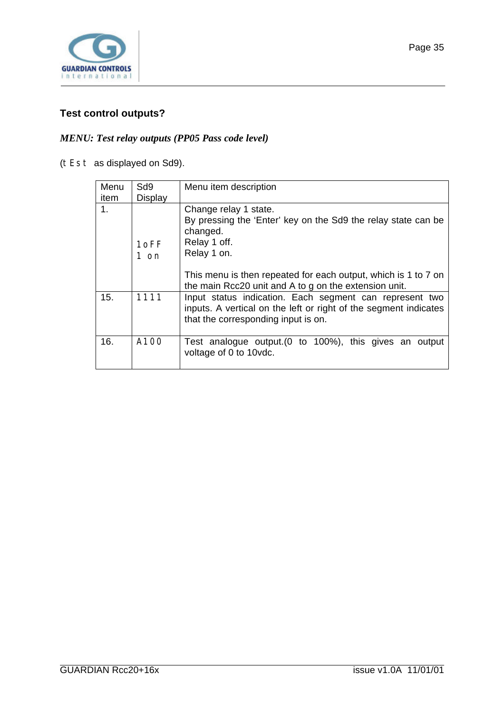

### **Test control outputs?**

### *MENU: Test relay outputs (PP05 Pass code level)*

(tEst as displayed on Sd9).

| Menu | Sd <sub>9</sub> | Menu item description                                                                                                                                              |
|------|-----------------|--------------------------------------------------------------------------------------------------------------------------------------------------------------------|
| item | Display         |                                                                                                                                                                    |
| 1.   | 1oFF<br>$1$ on  | Change relay 1 state.<br>By pressing the 'Enter' key on the Sd9 the relay state can be<br>changed.<br>Relay 1 off.<br>Relay 1 on.                                  |
|      |                 | This menu is then repeated for each output, which is 1 to 7 on<br>the main Rcc20 unit and A to g on the extension unit.                                            |
| 15.  | 1111            | Input status indication. Each segment can represent two<br>inputs. A vertical on the left or right of the segment indicates<br>that the corresponding input is on. |
| 16.  | A100            | Test analogue output. (0 to 100%), this gives an output<br>voltage of 0 to 10vdc.                                                                                  |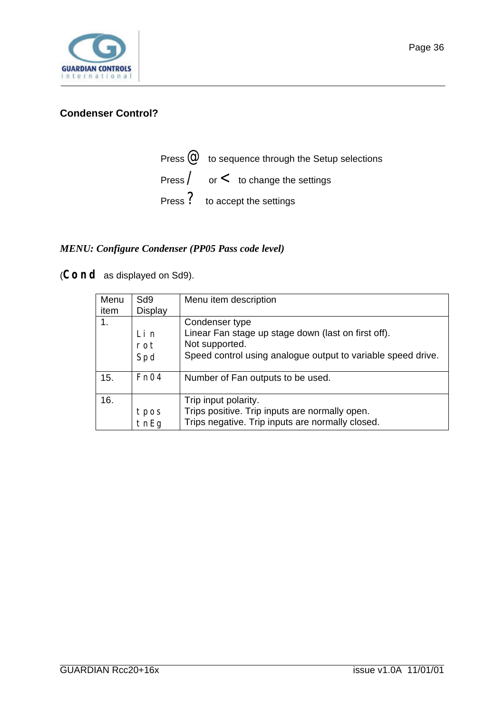

### **Condenser Control?**

| Press $@$ to sequence through the Setup selections |
|----------------------------------------------------|
|                                                    |

Press  $/$  or  $<$  to change the settings

Press  $\widehat{?}$  to accept the settings

### *MENU: Configure Condenser (PP05 Pass code level)*

(**Cond** as displayed on Sd9).

| Menu<br>item | Sd9<br><b>Display</b> | Menu item description                                                 |
|--------------|-----------------------|-----------------------------------------------------------------------|
| 1.           | Li n                  | Condenser type<br>Linear Fan stage up stage down (last on first off). |
|              | rot                   | Not supported.                                                        |
|              | Spd                   | Speed control using analogue output to variable speed drive.          |
| 15.          | FnO4                  | Number of Fan outputs to be used.                                     |
| 16.          |                       | Trip input polarity.                                                  |
|              | tpos                  | Trips positive. Trip inputs are normally open.                        |
|              | tnEa                  | Trips negative. Trip inputs are normally closed.                      |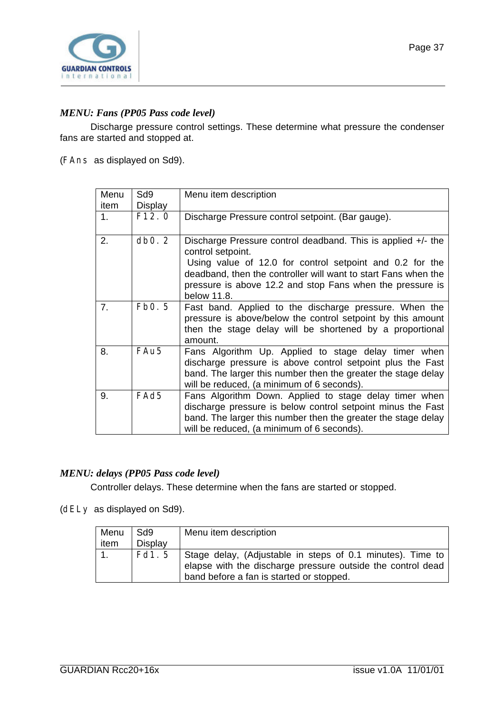

### *MENU: Fans (PP05 Pass code level)*

Discharge pressure control settings. These determine what pressure the condenser fans are started and stopped at.

(FAns as displayed on Sd9).

| Menu<br>item   | Sd9<br><b>Display</b> | Menu item description                                                                                                                                                                                                                |
|----------------|-----------------------|--------------------------------------------------------------------------------------------------------------------------------------------------------------------------------------------------------------------------------------|
| 1.             | F12.0                 | Discharge Pressure control setpoint. (Bar gauge).                                                                                                                                                                                    |
| 2.             | db0.2                 | Discharge Pressure control deadband. This is applied $+/-$ the<br>control setpoint.<br>Using value of 12.0 for control setpoint and 0.2 for the<br>deadband, then the controller will want to start Fans when the                    |
|                |                       | pressure is above 12.2 and stop Fans when the pressure is<br>below 11.8.                                                                                                                                                             |
| 7 <sub>1</sub> | Fb0. 5                | Fast band. Applied to the discharge pressure. When the<br>pressure is above/below the control setpoint by this amount<br>then the stage delay will be shortened by a proportional<br>amount.                                         |
| 8.             | FAu5                  | Fans Algorithm Up. Applied to stage delay timer when<br>discharge pressure is above control setpoint plus the Fast<br>band. The larger this number then the greater the stage delay<br>will be reduced, (a minimum of 6 seconds).    |
| 9.             | FAd5                  | Fans Algorithm Down. Applied to stage delay timer when<br>discharge pressure is below control setpoint minus the Fast<br>band. The larger this number then the greater the stage delay<br>will be reduced, (a minimum of 6 seconds). |

### *MENU: delays (PP05 Pass code level)*

Controller delays. These determine when the fans are started or stopped.

(dELy as displayed on Sd9).

| Menu<br>item | Sd9<br>Display | Menu item description                                       |
|--------------|----------------|-------------------------------------------------------------|
|              | Fd1.5          | Stage delay, (Adjustable in steps of 0.1 minutes). Time to  |
|              |                | elapse with the discharge pressure outside the control dead |
|              |                | band before a fan is started or stopped.                    |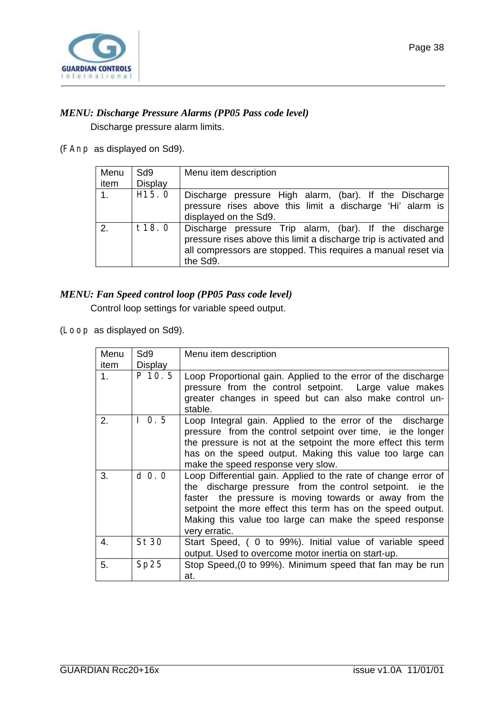

### *MENU: Discharge Pressure Alarms (PP05 Pass code level)*

Discharge pressure alarm limits.

(FAnp as displayed on Sd9).

| Menu<br>item                | Sd9<br><b>Display</b> | Menu item description                                                                                                                                                                                    |
|-----------------------------|-----------------------|----------------------------------------------------------------------------------------------------------------------------------------------------------------------------------------------------------|
| 1 <sub>1</sub>              | H15. O                | Discharge pressure High alarm, (bar). If the Discharge<br>pressure rises above this limit a discharge 'Hi' alarm is<br>displayed on the Sd9.                                                             |
| $\mathcal{P}_{\mathcal{C}}$ | t18.0                 | Discharge pressure Trip alarm, (bar). If the discharge<br>pressure rises above this limit a discharge trip is activated and<br>all compressors are stopped. This requires a manual reset via<br>the Sd9. |

### *MENU: Fan Speed control loop (PP05 Pass code level)*

Control loop settings for variable speed output.

(Loop as displayed on Sd9).

| Menu | Sd9                     | Menu item description                                          |
|------|-------------------------|----------------------------------------------------------------|
| item | <b>Display</b>          |                                                                |
| 1.   | P 10.5                  | Loop Proportional gain. Applied to the error of the discharge  |
|      |                         | pressure from the control setpoint. Large value makes          |
|      |                         | greater changes in speed but can also make control un-         |
|      |                         | stable.                                                        |
| 2.   | 0.5                     | Loop Integral gain. Applied to the error of the discharge      |
|      |                         | pressure from the control setpoint over time, ie the longer    |
|      |                         | the pressure is not at the setpoint the more effect this term  |
|      |                         | has on the speed output. Making this value too large can       |
|      |                         | make the speed response very slow.                             |
| 3.   | $d$ $\Omega$ . $\Omega$ | Loop Differential gain. Applied to the rate of change error of |
|      |                         | the discharge pressure from the control setpoint. ie the       |
|      |                         | faster the pressure is moving towards or away from the         |
|      |                         | setpoint the more effect this term has on the speed output.    |
|      |                         | Making this value too large can make the speed response        |
|      |                         | very erratic.                                                  |
| 4.   | St30                    | Start Speed, (0 to 99%). Initial value of variable speed       |
|      |                         | output. Used to overcome motor inertia on start-up.            |
| 5.   | Sp25                    | Stop Speed, (0 to 99%). Minimum speed that fan may be run      |
|      |                         | at.                                                            |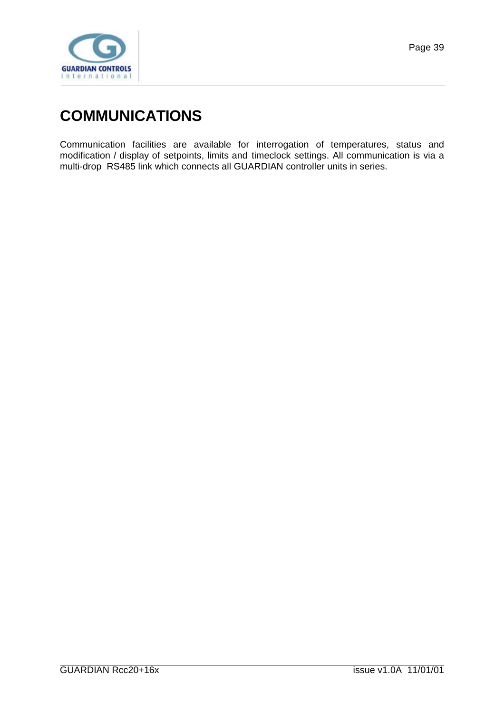

### **COMMUNICATIONS**

Communication facilities are available for interrogation of temperatures, status and modification / display of setpoints, limits and timeclock settings. All communication is via a multi-drop RS485 link which connects all GUARDIAN controller units in series.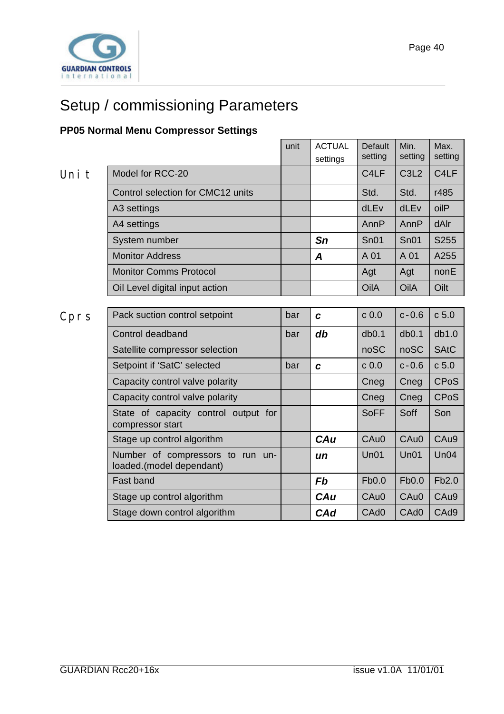

### Setup / commissioning Parameters

### **PP05 Normal Menu Compressor Settings**

|       |                                                              | unit | <b>ACTUAL</b><br>settings | <b>Default</b><br>setting | Min.<br>setting  | Max.<br>setting  |
|-------|--------------------------------------------------------------|------|---------------------------|---------------------------|------------------|------------------|
| Uni t | Model for RCC-20                                             |      |                           | C <sub>4</sub> LF         | <b>C3L2</b>      | C4LF             |
|       | Control selection for CMC12 units                            |      |                           | Std.                      | Std.             | r485             |
|       | A3 settings                                                  |      |                           | dLEv                      | dLEv             | oilP             |
|       | A4 settings                                                  |      |                           | AnnP                      | AnnP             | dAlr             |
|       | System number                                                |      | Sn                        | SnO1                      | SnO1             | S255             |
|       | <b>Monitor Address</b>                                       |      | A                         | A 01                      | A 01             | A255             |
|       | <b>Monitor Comms Protocol</b>                                |      |                           | Agt                       | Agt              | nonE             |
|       | Oil Level digital input action                               |      |                           | OilA                      | OilA             | Oilt             |
|       |                                                              |      |                           |                           |                  |                  |
| Cprs  | Pack suction control setpoint                                | bar  | $\mathbf c$               | c <sub>0.0</sub>          | $c - 0.6$        | c <sub>5.0</sub> |
|       | Control deadband                                             | bar  | db                        | db0.1                     | db0.1            | db1.0            |
|       | Satellite compressor selection                               |      |                           | noSC                      | noSC             | <b>SAtC</b>      |
|       | Setpoint if 'SatC' selected                                  | bar  | $\mathbf c$               | c <sub>0.0</sub>          | $c - 0.6$        | c <sub>5.0</sub> |
|       | Capacity control valve polarity                              |      |                           | Cneg                      | Cneg             | <b>CPoS</b>      |
|       | Capacity control valve polarity                              |      |                           | Cneg                      | Cneg             | <b>CPoS</b>      |
|       | State of capacity control output for<br>compressor start     |      |                           | <b>SoFF</b>               | Soff             | Son              |
|       | Stage up control algorithm                                   |      | CAu                       | CAu0                      | CAu0             | CAu9             |
|       | Number of compressors to run un-<br>loaded.(model dependant) |      | un                        | <b>Un01</b>               | <b>Un01</b>      | <b>Un04</b>      |
|       | Fast band                                                    |      | <b>Fb</b>                 | Fb0.0                     | Fb0.0            | Fb2.0            |
|       | Stage up control algorithm                                   |      | CAu                       | CAu0                      | CAu0             | CAu9             |
|       | Stage down control algorithm                                 |      | CAd                       | CAd <sub>0</sub>          | CAd <sub>0</sub> | CAd9             |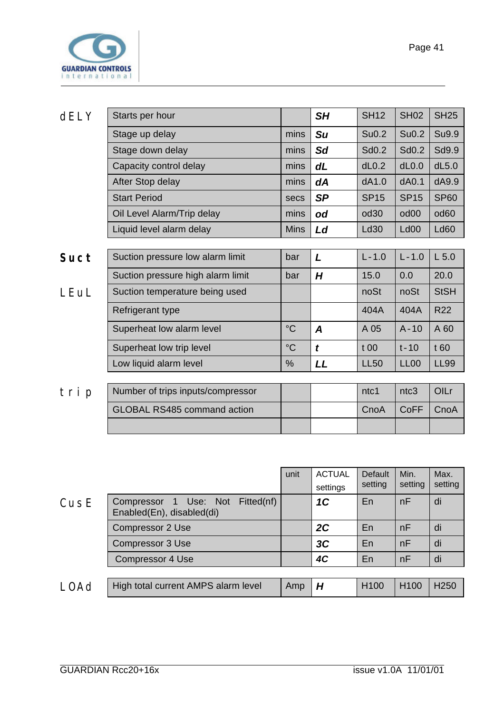

| <b>GELY</b> | Starts per hour                    |                 | SH               | <b>SH12</b>       | <b>SH02</b>       | <b>SH25</b>      |
|-------------|------------------------------------|-----------------|------------------|-------------------|-------------------|------------------|
|             | Stage up delay                     | mins            | <b>Su</b>        | Su0.2             | Su0.2             | Su9.9            |
|             | Stage down delay                   | mins            | <b>Sd</b>        | Sd <sub>0.2</sub> | Sd <sub>0.2</sub> | Sd9.9            |
|             | Capacity control delay             | mins            | dL               | dL <sub>0.2</sub> | dL <sub>0.0</sub> | dL5.0            |
|             | After Stop delay                   | mins            | dA               | dA1.0             | dA0.1             | dA9.9            |
|             | <b>Start Period</b>                | secs            | <b>SP</b>        | <b>SP15</b>       | <b>SP15</b>       | <b>SP60</b>      |
|             | Oil Level Alarm/Trip delay         | mins            | od               | od <sub>30</sub>  | od <sub>00</sub>  | od <sub>60</sub> |
|             | Liquid level alarm delay           | <b>Mins</b>     | Ld               | Ld30              | Ld00              | <b>Ld60</b>      |
|             |                                    |                 |                  |                   |                   |                  |
| Suct        | Suction pressure low alarm limit   | bar             | L                | $L - 1.0$         | $L - 1.0$         | L <sub>5.0</sub> |
|             | Suction pressure high alarm limit  | bar             | H                | 15.0              | 0.0               | 20.0             |
| LEuL        | Suction temperature being used     |                 |                  | noSt              | noSt              | <b>StSH</b>      |
|             | Refrigerant type                   |                 |                  | 404A              | 404A              | <b>R22</b>       |
|             | Superheat low alarm level          | $\rm ^{\circ}C$ | $\boldsymbol{A}$ | A 05              | $A-10$            | A 60             |
|             | Superheat low trip level           | $\rm ^{\circ}C$ | $\mathbf{t}$     | t00               | $t-10$            | t 60             |
|             | Low liquid alarm level             | %               | LL               | <b>LL50</b>       | LL <sub>00</sub>  | <b>LL99</b>      |
|             |                                    |                 |                  |                   |                   |                  |
| trip        | Number of trips inputs/compressor  |                 |                  | ntc1              | ntc3              | OILr             |
|             | <b>GLOBAL RS485 command action</b> |                 |                  | CnoA              | <b>CoFF</b>       | CnoA             |

|      |                                                                  | unit | <b>ACTUAL</b><br>settings | Default<br>setting | Min.<br>setting  | Max.<br>setting  |
|------|------------------------------------------------------------------|------|---------------------------|--------------------|------------------|------------------|
| CusE | Fitted(nf)<br>Compressor 1 Use: Not<br>Enabled(En), disabled(di) |      | 1C                        | En                 | nF               | di               |
|      | <b>Compressor 2 Use</b>                                          |      | 2C                        | En                 | nF               | di               |
|      | <b>Compressor 3 Use</b>                                          |      | 3C                        | En                 | nF               | di               |
|      | <b>Compressor 4 Use</b>                                          |      | 4C                        | En                 | nF               | di               |
|      |                                                                  |      |                           |                    |                  |                  |
|      | High total current AMPS alarm level                              | Amp  | H                         | H <sub>100</sub>   | H <sub>100</sub> | H <sub>250</sub> |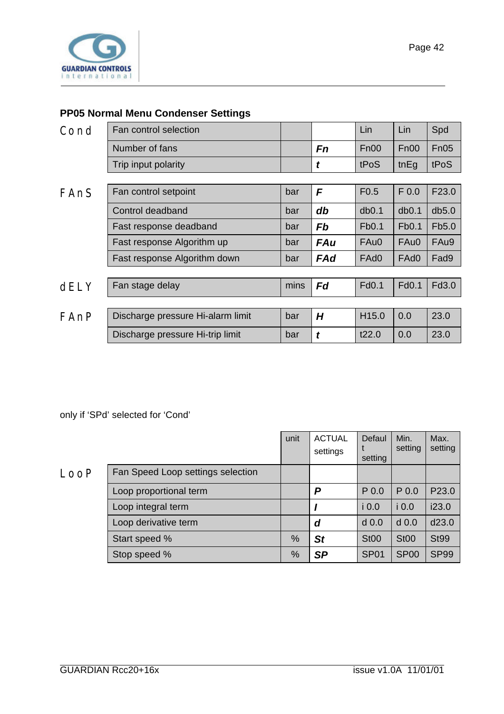

### **PP05 Normal Menu Condenser Settings**

| Cond  | Fan control selection             |      |            | Lin               | Lin               | Spd   |
|-------|-----------------------------------|------|------------|-------------------|-------------------|-------|
|       | Number of fans                    |      | Fn         | Fn00              | Fn00              | Fn05  |
|       | Trip input polarity               |      | t          | tPoS              | tnEq              | tPoS  |
|       |                                   |      |            |                   |                   |       |
| FAnS  | Fan control setpoint              | bar  | F          | F <sub>0.5</sub>  | F <sub>0.0</sub>  | F23.0 |
|       | Control deadband                  | bar  | db         | db0.1             | db0.1             | db5.0 |
|       | Fast response deadband            | bar  | Fb         | Fb0.1             | Fb0.1             | Fb5.0 |
|       | Fast response Algorithm up        | bar  | <b>FAu</b> | FAu0              | FAu0              | FAu9  |
|       | Fast response Algorithm down      | bar  | FAd        | FA <sub>d</sub> 0 | FA <sub>d</sub> 0 | Fad9  |
|       |                                   |      |            |                   |                   |       |
| del Y | Fan stage delay                   | mins | Fd         | Fd0.1             | Fd0.1             | Fd3.0 |
|       |                                   |      |            |                   |                   |       |
| FAnP  | Discharge pressure Hi-alarm limit | bar  | H          | H <sub>15.0</sub> | 0.0               | 23.0  |
|       | Discharge pressure Hi-trip limit  | bar  | t          | t22.0             | 0.0               | 23.0  |

### only if 'SPd' selected for 'Cond'

|      |                                   | unit | <b>ACTUAL</b><br>settings | Defaul<br>setting | Min.<br>setting | Max.<br>setting   |
|------|-----------------------------------|------|---------------------------|-------------------|-----------------|-------------------|
| LooP | Fan Speed Loop settings selection |      |                           |                   |                 |                   |
|      | Loop proportional term            |      | P                         | P <sub>0.0</sub>  | P 0.0           | P23.0             |
|      | Loop integral term                |      |                           | $i$ 0.0           | $i$ 0.0         | i23.0             |
|      | Loop derivative term              |      | d                         | $d$ 0.0           | $d$ 0.0         | d <sub>23.0</sub> |
|      | Start speed %                     | %    | <b>St</b>                 | <b>St00</b>       | <b>St00</b>     | <b>St99</b>       |
|      | Stop speed %                      | %    | <b>SP</b>                 | <b>SP01</b>       | <b>SP00</b>     | <b>SP99</b>       |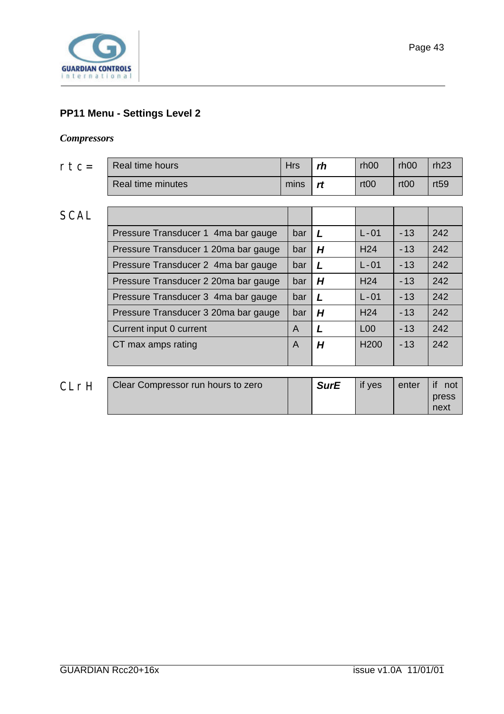

### **PP11 Menu - Settings Level 2**

### *Compressors*

| $r$ tc= | Real time hours                      | <b>Hrs</b> | rh | $rh$ <sub>0</sub> | rh <sub>00</sub> | rh23 |
|---------|--------------------------------------|------------|----|-------------------|------------------|------|
|         | Real time minutes                    | mins       | rt | rt <sub>00</sub>  | rt <sub>00</sub> | rt59 |
|         |                                      |            |    |                   |                  |      |
| SCAL    |                                      |            |    |                   |                  |      |
|         | Pressure Transducer 1 4ma bar gauge  | bar        | L  | $L - 01$          | $-13$            | 242  |
|         | Pressure Transducer 1 20ma bar gauge | bar        | H  | H <sub>24</sub>   | $-13$            | 242  |
|         | Pressure Transducer 2 4ma bar gauge  | bar        | L  | $L - 01$          | $-13$            | 242  |
|         | Pressure Transducer 2 20ma bar gauge | bar        | H  | H <sub>24</sub>   | $-13$            | 242  |
|         | Pressure Transducer 3 4ma bar gauge  | bar        | L  | $L - 01$          | $-13$            | 242  |
|         | Pressure Transducer 3 20ma bar gauge | bar        | H  | H <sub>24</sub>   | $-13$            | 242  |
|         | Current input 0 current              | A          | L  | L <sub>00</sub>   | $-13$            | 242  |
|         | CT max amps rating                   | A          | H  | H <sub>200</sub>  | $-13$            | 242  |
|         |                                      |            |    |                   |                  |      |

CLrH C

| lear Compressor run hours to zero | <b>SurE</b> | if yes | l enter | lif not |
|-----------------------------------|-------------|--------|---------|---------|
|                                   |             |        |         | press   |
|                                   |             |        |         | next    |